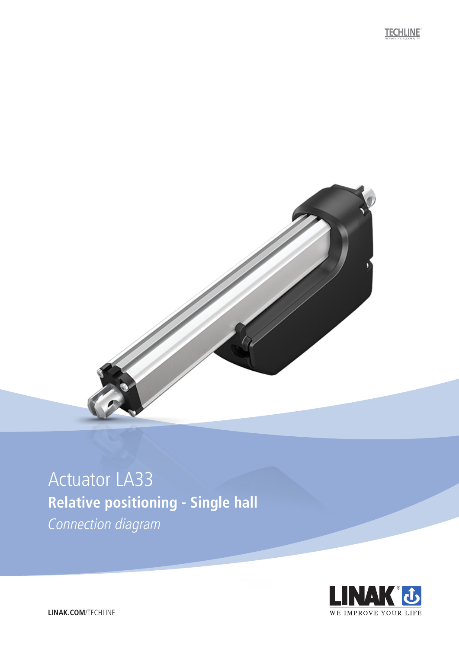**TECHLINE** 



## Actuator LA33 **Relative positioning - Single hall**

Connection diagram



**LINAK.COM**/TECHLINE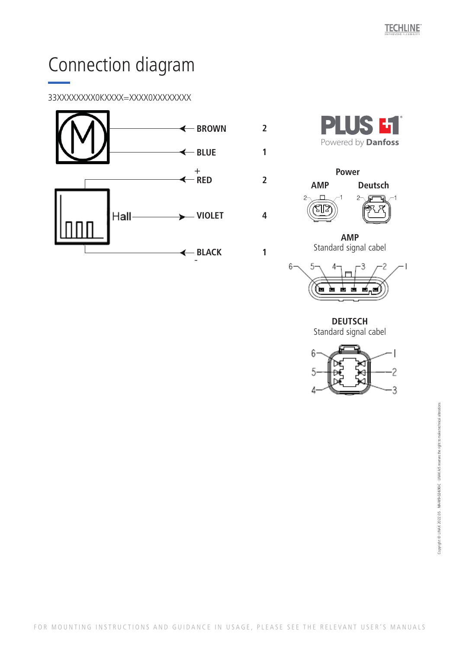# Connection diagram

### 33XXXXXXXX0KXXXX=XXXX0XXXXXXXX





**2**

**1**

**2**

**4**

**1**



**AMP**  Standard signal cabel



**DEUTSCH**  Standard signal cabel

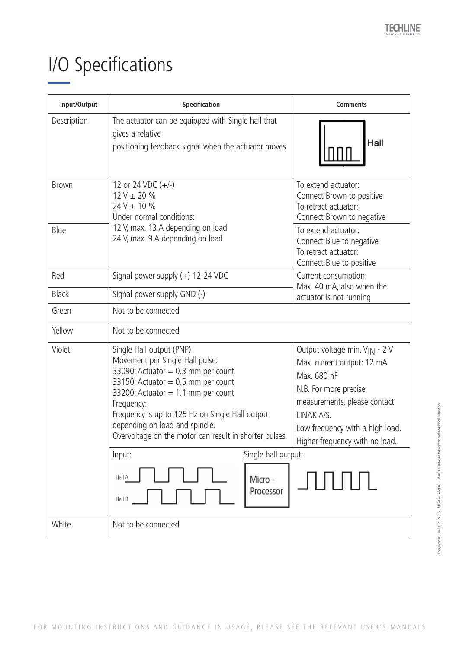### I/O Specifications  $R \cap \mathcal{L} = \{S_1, \ldots, S_n\}$

| Input/Output | Specification                                                                                                                                                                                                                                                                                                                                    | <b>Comments</b>                                                                                                                                                                                                                    |
|--------------|--------------------------------------------------------------------------------------------------------------------------------------------------------------------------------------------------------------------------------------------------------------------------------------------------------------------------------------------------|------------------------------------------------------------------------------------------------------------------------------------------------------------------------------------------------------------------------------------|
| Description  | The actuator can be equipped with Single hall that<br>gives a relative<br>positioning feedback signal when the actuator moves.                                                                                                                                                                                                                   | Hall                                                                                                                                                                                                                               |
| <b>Brown</b> | 12 or 24 VDC $(+/-)$<br>$12 V \pm 20 \%$<br>$24V \pm 10 \%$<br>Under normal conditions:                                                                                                                                                                                                                                                          | To extend actuator:<br>Connect Brown to positive<br>To retract actuator:<br>Connect Brown to negative                                                                                                                              |
| Blue         | 12 V, max. 13 A depending on load<br>24 V, max. 9 A depending on load                                                                                                                                                                                                                                                                            | To extend actuator:<br>Connect Blue to negative<br>To retract actuator:<br>Connect Blue to positive                                                                                                                                |
| Red          | Signal power supply $(+)$ 12-24 VDC                                                                                                                                                                                                                                                                                                              | Current consumption:<br>Max. 40 mA, also when the                                                                                                                                                                                  |
| <b>Black</b> | Signal power supply GND (-)                                                                                                                                                                                                                                                                                                                      | actuator is not running                                                                                                                                                                                                            |
| Green        | Not to be connected                                                                                                                                                                                                                                                                                                                              |                                                                                                                                                                                                                                    |
| Yellow       | Not to be connected                                                                                                                                                                                                                                                                                                                              |                                                                                                                                                                                                                                    |
| Violet       | Single Hall output (PNP)<br>Movement per Single Hall pulse:<br>33090: Actuator = $0.3$ mm per count<br>33150: Actuator = $0.5$ mm per count<br>33200: Actuator = $1.1$ mm per count<br>Frequency:<br>Frequency is up to 125 Hz on Single Hall output<br>depending on load and spindle.<br>Overvoltage on the motor can result in shorter pulses. | Output voltage min. V <sub>IN</sub> - 2 V<br>Max. current output: 12 mA<br>Max. 680 nF<br>N.B. For more precise<br>measurements, please contact<br>LINAK A/S.<br>Low frequency with a high load.<br>Higher frequency with no load. |
|              | Single hall output:<br>Input:<br>Hall A<br>Micro -<br>Processor<br>Hall B                                                                                                                                                                                                                                                                        |                                                                                                                                                                                                                                    |
| White        | Not to be connected                                                                                                                                                                                                                                                                                                                              |                                                                                                                                                                                                                                    |